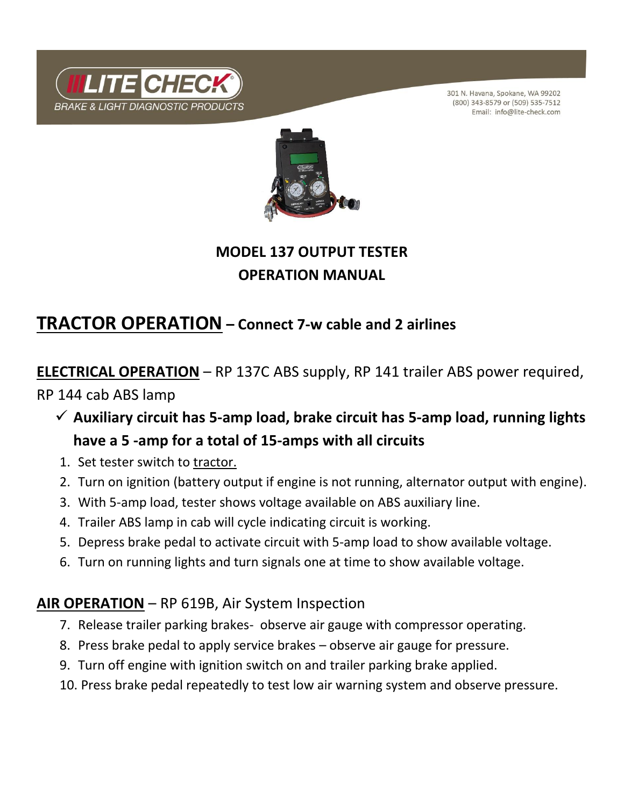

301 N. Havana, Spokane, WA 99202 (800) 343-8579 or (509) 535-7512 Email: info@lite-check.com



## **MODEL 137 OUTPUT TESTER OPERATION MANUAL**

## **TRACTOR OPERATION – Connect 7-w cable and 2 airlines**

**ELECTRICAL OPERATION** – RP 137C ABS supply, RP 141 trailer ABS power required, RP 144 cab ABS lamp

- ✓ **Auxiliary circuit has 5-amp load, brake circuit has 5-amp load, running lights have a 5 -amp for a total of 15-amps with all circuits**
- 1. Set tester switch to tractor.
- 2. Turn on ignition (battery output if engine is not running, alternator output with engine).
- 3. With 5-amp load, tester shows voltage available on ABS auxiliary line.
- 4. Trailer ABS lamp in cab will cycle indicating circuit is working.
- 5. Depress brake pedal to activate circuit with 5-amp load to show available voltage.
- 6. Turn on running lights and turn signals one at time to show available voltage.

### **AIR OPERATION** – RP 619B, Air System Inspection

- 7. Release trailer parking brakes- observe air gauge with compressor operating.
- 8. Press brake pedal to apply service brakes observe air gauge for pressure.
- 9. Turn off engine with ignition switch on and trailer parking brake applied.
- 10. Press brake pedal repeatedly to test low air warning system and observe pressure.